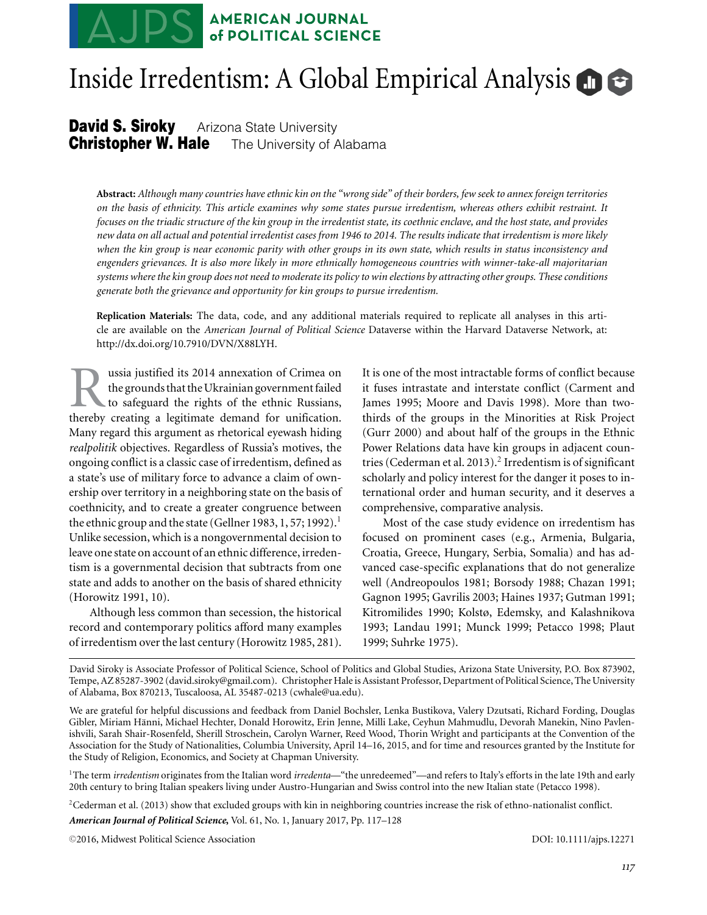# **AMERICAN JOURNAL** of POLITICAL SCIENCE

# Inside Irredentism: A Global Empirical Analysis

**David S. Siroky** Arizona State University<br>**Christopher W. Hale** The University of A The University of Alabama

**Abstract:** *Although many countries have ethnic kin on the "wrong side" of their borders, few seek to annex foreign territories on the basis of ethnicity. This article examines why some states pursue irredentism, whereas others exhibit restraint. It focuses on the triadic structure of the kin group in the irredentist state, its coethnic enclave, and the host state, and provides new data on all actual and potential irredentist cases from 1946 to 2014. The results indicate that irredentism is more likely when the kin group is near economic parity with other groups in its own state, which results in status inconsistency and engenders grievances. It is also more likely in more ethnically homogeneous countries with winner-take-all majoritarian systems where the kin group does not need to moderate its policy to win elections by attracting other groups. These conditions generate both the grievance and opportunity for kin groups to pursue irredentism.*

**Replication Materials:** The data, code, and any additional materials required to replicate all analyses in this article are available on the *American Journal of Political Science* Dataverse within the Harvard Dataverse Network, at: http://dx.doi.org/10.7910/DVN/X88LYH.

Russia justified its 2014 annexation of Crimea on the grounds that the Ukrainian government failed to safeguard the rights of the ethnic Russians, thereby creating a legitimate demand for unification. the grounds that the Ukrainian government failed to safeguard the rights of the ethnic Russians, Many regard this argument as rhetorical eyewash hiding *realpolitik* objectives. Regardless of Russia's motives, the ongoing conflict is a classic case of irredentism, defined as a state's use of military force to advance a claim of ownership over territory in a neighboring state on the basis of coethnicity, and to create a greater congruence between the ethnic group and the state (Gellner 1983, 1, 57; 1992).<sup>1</sup> Unlike secession, which is a nongovernmental decision to leave one state on account of an ethnic difference, irredentism is a governmental decision that subtracts from one state and adds to another on the basis of shared ethnicity (Horowitz 1991, 10).

Although less common than secession, the historical record and contemporary politics afford many examples of irredentism over the last century (Horowitz 1985, 281). It is one of the most intractable forms of conflict because it fuses intrastate and interstate conflict (Carment and James 1995; Moore and Davis 1998). More than twothirds of the groups in the Minorities at Risk Project (Gurr 2000) and about half of the groups in the Ethnic Power Relations data have kin groups in adjacent countries (Cederman et al. 2013).<sup>2</sup> Irredentism is of significant scholarly and policy interest for the danger it poses to international order and human security, and it deserves a comprehensive, comparative analysis.

Most of the case study evidence on irredentism has focused on prominent cases (e.g., Armenia, Bulgaria, Croatia, Greece, Hungary, Serbia, Somalia) and has advanced case-specific explanations that do not generalize well (Andreopoulos 1981; Borsody 1988; Chazan 1991; Gagnon 1995; Gavrilis 2003; Haines 1937; Gutman 1991; Kitromilides 1990; Kolstø, Edemsky, and Kalashnikova 1993; Landau 1991; Munck 1999; Petacco 1998; Plaut 1999; Suhrke 1975).

<sup>1</sup>The term *irredentism* originates from the Italian word *irredenta*—"the unredeemed"—and refers to Italy's efforts in the late 19th and early 20th century to bring Italian speakers living under Austro-Hungarian and Swiss control into the new Italian state (Petacco 1998).

<sup>2</sup>Cederman et al. (2013) show that excluded groups with kin in neighboring countries increase the risk of ethno-nationalist conflict.

*American Journal of Political Science***,** Vol. 61, No. 1, January 2017, Pp. 117–128

-<sup>C</sup> 2016, Midwest Political Science Association DOI: 10.1111/ajps.12271

David Siroky is Associate Professor of Political Science, School of Politics and Global Studies, Arizona State University, P.O. Box 873902, Tempe, AZ 85287-3902 (david.siroky@gmail.com). Christopher Hale is Assistant Professor, Department of Political Science, The University of Alabama, Box 870213, Tuscaloosa, AL 35487-0213 (cwhale@ua.edu).

We are grateful for helpful discussions and feedback from Daniel Bochsler, Lenka Bustikova, Valery Dzutsati, Richard Fording, Douglas Gibler, Miriam Hanni, Michael Hechter, Donald Horowitz, Erin Jenne, Milli Lake, Ceyhun Mahmudlu, Devorah Manekin, Nino Pavlen- ¨ ishvili, Sarah Shair-Rosenfeld, Sherill Stroschein, Carolyn Warner, Reed Wood, Thorin Wright and participants at the Convention of the Association for the Study of Nationalities, Columbia University, April 14–16, 2015, and for time and resources granted by the Institute for the Study of Religion, Economics, and Society at Chapman University.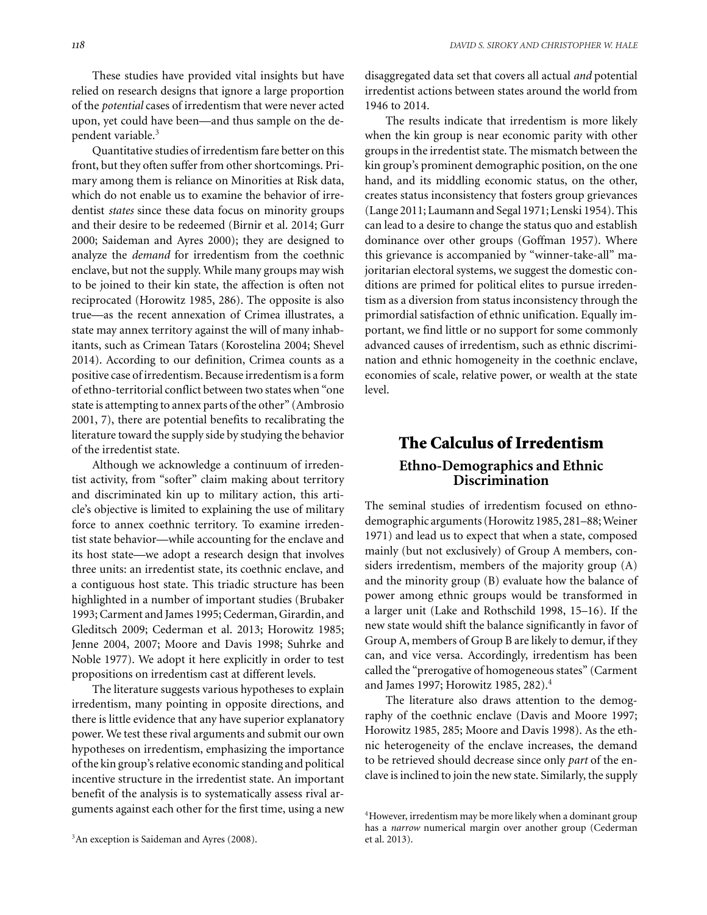These studies have provided vital insights but have relied on research designs that ignore a large proportion of the *potential* cases of irredentism that were never acted upon, yet could have been—and thus sample on the dependent variable.<sup>3</sup>

Quantitative studies of irredentism fare better on this front, but they often suffer from other shortcomings. Primary among them is reliance on Minorities at Risk data, which do not enable us to examine the behavior of irredentist *states* since these data focus on minority groups and their desire to be redeemed (Birnir et al. 2014; Gurr 2000; Saideman and Ayres 2000); they are designed to analyze the *demand* for irredentism from the coethnic enclave, but not the supply. While many groups may wish to be joined to their kin state, the affection is often not reciprocated (Horowitz 1985, 286). The opposite is also true—as the recent annexation of Crimea illustrates, a state may annex territory against the will of many inhabitants, such as Crimean Tatars (Korostelina 2004; Shevel 2014). According to our definition, Crimea counts as a positive case of irredentism. Because irredentism is a form of ethno-territorial conflict between two states when "one state is attempting to annex parts of the other" (Ambrosio 2001, 7), there are potential benefits to recalibrating the literature toward the supply side by studying the behavior of the irredentist state.

Although we acknowledge a continuum of irredentist activity, from "softer" claim making about territory and discriminated kin up to military action, this article's objective is limited to explaining the use of military force to annex coethnic territory. To examine irredentist state behavior—while accounting for the enclave and its host state—we adopt a research design that involves three units: an irredentist state, its coethnic enclave, and a contiguous host state. This triadic structure has been highlighted in a number of important studies (Brubaker 1993; Carment and James 1995; Cederman, Girardin, and Gleditsch 2009; Cederman et al. 2013; Horowitz 1985; Jenne 2004, 2007; Moore and Davis 1998; Suhrke and Noble 1977). We adopt it here explicitly in order to test propositions on irredentism cast at different levels.

The literature suggests various hypotheses to explain irredentism, many pointing in opposite directions, and there is little evidence that any have superior explanatory power. We test these rival arguments and submit our own hypotheses on irredentism, emphasizing the importance of the kin group's relative economic standing and political incentive structure in the irredentist state. An important benefit of the analysis is to systematically assess rival arguments against each other for the first time, using a new

disaggregated data set that covers all actual *and* potential irredentist actions between states around the world from 1946 to 2014.

The results indicate that irredentism is more likely when the kin group is near economic parity with other groups in the irredentist state. The mismatch between the kin group's prominent demographic position, on the one hand, and its middling economic status, on the other, creates status inconsistency that fosters group grievances (Lange 2011; Laumann and Segal 1971; Lenski 1954). This can lead to a desire to change the status quo and establish dominance over other groups (Goffman 1957). Where this grievance is accompanied by "winner-take-all" majoritarian electoral systems, we suggest the domestic conditions are primed for political elites to pursue irredentism as a diversion from status inconsistency through the primordial satisfaction of ethnic unification. Equally important, we find little or no support for some commonly advanced causes of irredentism, such as ethnic discrimination and ethnic homogeneity in the coethnic enclave, economies of scale, relative power, or wealth at the state level.

# **The Calculus of Irredentism Ethno-Demographics and Ethnic Discrimination**

The seminal studies of irredentism focused on ethnodemographic arguments (Horowitz 1985, 281–88;Weiner 1971) and lead us to expect that when a state, composed mainly (but not exclusively) of Group A members, considers irredentism, members of the majority group (A) and the minority group (B) evaluate how the balance of power among ethnic groups would be transformed in a larger unit (Lake and Rothschild 1998, 15–16). If the new state would shift the balance significantly in favor of Group A, members of Group B are likely to demur, if they can, and vice versa. Accordingly, irredentism has been called the "prerogative of homogeneous states" (Carment and James 1997; Horowitz 1985, 282).<sup>4</sup>

The literature also draws attention to the demography of the coethnic enclave (Davis and Moore 1997; Horowitz 1985, 285; Moore and Davis 1998). As the ethnic heterogeneity of the enclave increases, the demand to be retrieved should decrease since only *part* of the enclave is inclined to join the new state. Similarly, the supply

<sup>&</sup>lt;sup>4</sup>However, irredentism may be more likely when a dominant group has a *narrow* numerical margin over another group (Cederman et al. 2013).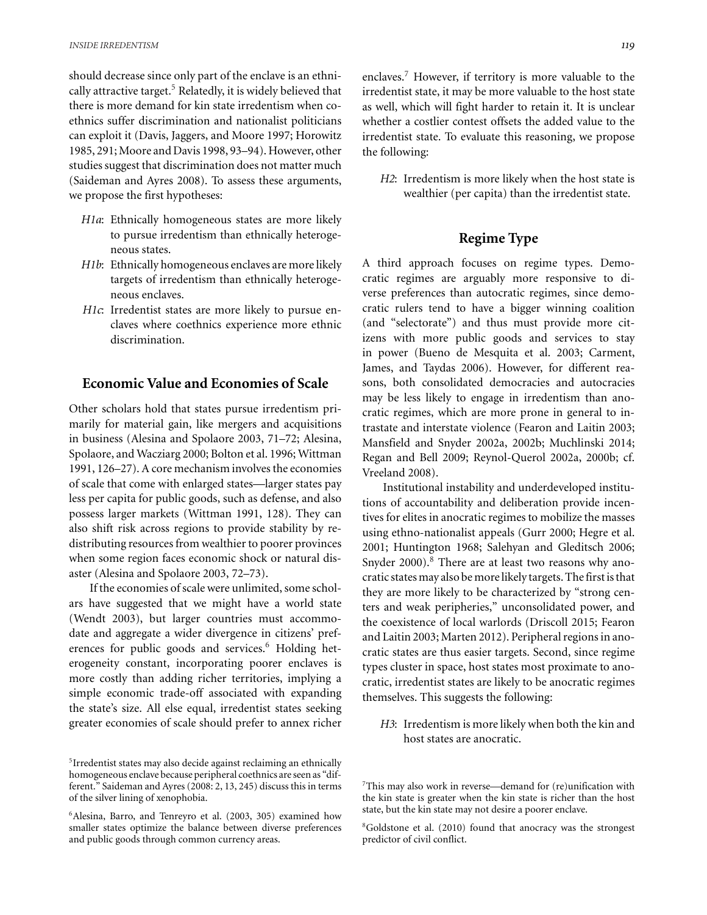should decrease since only part of the enclave is an ethnically attractive target.<sup>5</sup> Relatedly, it is widely believed that there is more demand for kin state irredentism when coethnics suffer discrimination and nationalist politicians can exploit it (Davis, Jaggers, and Moore 1997; Horowitz 1985, 291; Moore and Davis 1998, 93–94). However, other studies suggest that discrimination does not matter much (Saideman and Ayres 2008). To assess these arguments, we propose the first hypotheses:

- *H1a*: Ethnically homogeneous states are more likely to pursue irredentism than ethnically heterogeneous states.
- *H1b*: Ethnically homogeneous enclaves are more likely targets of irredentism than ethnically heterogeneous enclaves.
- *H1c*: Irredentist states are more likely to pursue enclaves where coethnics experience more ethnic discrimination.

#### **Economic Value and Economies of Scale**

Other scholars hold that states pursue irredentism primarily for material gain, like mergers and acquisitions in business (Alesina and Spolaore 2003, 71–72; Alesina, Spolaore, and Wacziarg 2000; Bolton et al. 1996; Wittman 1991, 126–27). A core mechanism involves the economies of scale that come with enlarged states—larger states pay less per capita for public goods, such as defense, and also possess larger markets (Wittman 1991, 128). They can also shift risk across regions to provide stability by redistributing resources from wealthier to poorer provinces when some region faces economic shock or natural disaster (Alesina and Spolaore 2003, 72–73).

If the economies of scale were unlimited, some scholars have suggested that we might have a world state (Wendt 2003), but larger countries must accommodate and aggregate a wider divergence in citizens' preferences for public goods and services.<sup>6</sup> Holding heterogeneity constant, incorporating poorer enclaves is more costly than adding richer territories, implying a simple economic trade-off associated with expanding the state's size. All else equal, irredentist states seeking greater economies of scale should prefer to annex richer enclaves.<sup>7</sup> However, if territory is more valuable to the irredentist state, it may be more valuable to the host state as well, which will fight harder to retain it. It is unclear whether a costlier contest offsets the added value to the irredentist state. To evaluate this reasoning, we propose the following:

*H2*: Irredentism is more likely when the host state is wealthier (per capita) than the irredentist state.

#### **Regime Type**

A third approach focuses on regime types. Democratic regimes are arguably more responsive to diverse preferences than autocratic regimes, since democratic rulers tend to have a bigger winning coalition (and "selectorate") and thus must provide more citizens with more public goods and services to stay in power (Bueno de Mesquita et al. 2003; Carment, James, and Taydas 2006). However, for different reasons, both consolidated democracies and autocracies may be less likely to engage in irredentism than anocratic regimes, which are more prone in general to intrastate and interstate violence (Fearon and Laitin 2003; Mansfield and Snyder 2002a, 2002b; Muchlinski 2014; Regan and Bell 2009; Reynol-Querol 2002a, 2000b; cf. Vreeland 2008).

Institutional instability and underdeveloped institutions of accountability and deliberation provide incentives for elites in anocratic regimes to mobilize the masses using ethno-nationalist appeals (Gurr 2000; Hegre et al. 2001; Huntington 1968; Salehyan and Gleditsch 2006; Snyder 2000). $8$  There are at least two reasons why anocratic states may also be more likely targets. The first is that they are more likely to be characterized by "strong centers and weak peripheries," unconsolidated power, and the coexistence of local warlords (Driscoll 2015; Fearon and Laitin 2003; Marten 2012). Peripheral regions in anocratic states are thus easier targets. Second, since regime types cluster in space, host states most proximate to anocratic, irredentist states are likely to be anocratic regimes themselves. This suggests the following:

*H3*: Irredentism is more likely when both the kin and host states are anocratic.

<sup>&</sup>lt;sup>5</sup>Irredentist states may also decide against reclaiming an ethnically homogeneous enclave because peripheral coethnics are seen as "different." Saideman and Ayres (2008: 2, 13, 245) discuss this in terms of the silver lining of xenophobia.

<sup>6</sup>Alesina, Barro, and Tenreyro et al. (2003, 305) examined how smaller states optimize the balance between diverse preferences and public goods through common currency areas.

 $7$ This may also work in reverse—demand for (re)unification with the kin state is greater when the kin state is richer than the host state, but the kin state may not desire a poorer enclave.

<sup>8</sup>Goldstone et al. (2010) found that anocracy was the strongest predictor of civil conflict.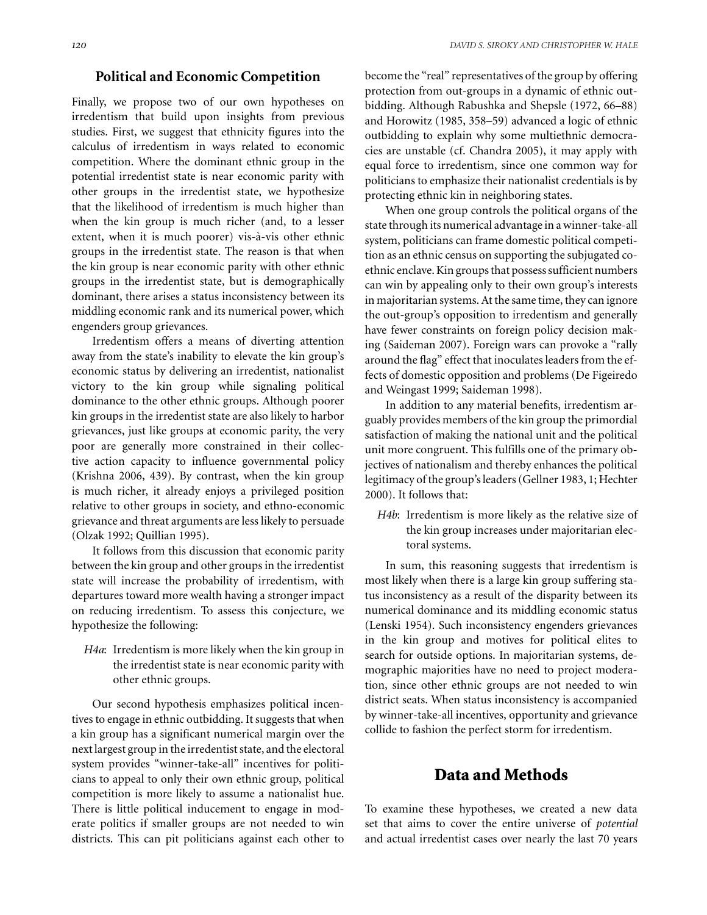#### **Political and Economic Competition**

Finally, we propose two of our own hypotheses on irredentism that build upon insights from previous studies. First, we suggest that ethnicity figures into the calculus of irredentism in ways related to economic competition. Where the dominant ethnic group in the potential irredentist state is near economic parity with other groups in the irredentist state, we hypothesize that the likelihood of irredentism is much higher than when the kin group is much richer (and, to a lesser extent, when it is much poorer) vis-à-vis other ethnic groups in the irredentist state. The reason is that when the kin group is near economic parity with other ethnic groups in the irredentist state, but is demographically dominant, there arises a status inconsistency between its middling economic rank and its numerical power, which engenders group grievances.

Irredentism offers a means of diverting attention away from the state's inability to elevate the kin group's economic status by delivering an irredentist, nationalist victory to the kin group while signaling political dominance to the other ethnic groups. Although poorer kin groups in the irredentist state are also likely to harbor grievances, just like groups at economic parity, the very poor are generally more constrained in their collective action capacity to influence governmental policy (Krishna 2006, 439). By contrast, when the kin group is much richer, it already enjoys a privileged position relative to other groups in society, and ethno-economic grievance and threat arguments are less likely to persuade (Olzak 1992; Quillian 1995).

It follows from this discussion that economic parity between the kin group and other groups in the irredentist state will increase the probability of irredentism, with departures toward more wealth having a stronger impact on reducing irredentism. To assess this conjecture, we hypothesize the following:

*H4a*: Irredentism is more likely when the kin group in the irredentist state is near economic parity with other ethnic groups.

Our second hypothesis emphasizes political incentives to engage in ethnic outbidding. It suggests that when a kin group has a significant numerical margin over the next largest group in the irredentist state, and the electoral system provides "winner-take-all" incentives for politicians to appeal to only their own ethnic group, political competition is more likely to assume a nationalist hue. There is little political inducement to engage in moderate politics if smaller groups are not needed to win districts. This can pit politicians against each other to

become the "real" representatives of the group by offering protection from out-groups in a dynamic of ethnic outbidding. Although Rabushka and Shepsle (1972, 66–88) and Horowitz (1985, 358–59) advanced a logic of ethnic outbidding to explain why some multiethnic democracies are unstable (cf. Chandra 2005), it may apply with equal force to irredentism, since one common way for politicians to emphasize their nationalist credentials is by protecting ethnic kin in neighboring states.

When one group controls the political organs of the state through its numerical advantage in a winner-take-all system, politicians can frame domestic political competition as an ethnic census on supporting the subjugated coethnic enclave. Kin groups that possess sufficient numbers can win by appealing only to their own group's interests in majoritarian systems. At the same time, they can ignore the out-group's opposition to irredentism and generally have fewer constraints on foreign policy decision making (Saideman 2007). Foreign wars can provoke a "rally around the flag" effect that inoculates leaders from the effects of domestic opposition and problems (De Figeiredo and Weingast 1999; Saideman 1998).

In addition to any material benefits, irredentism arguably provides members of the kin group the primordial satisfaction of making the national unit and the political unit more congruent. This fulfills one of the primary objectives of nationalism and thereby enhances the political legitimacy of the group's leaders (Gellner 1983, 1; Hechter 2000). It follows that:

*H4b*: Irredentism is more likely as the relative size of the kin group increases under majoritarian electoral systems.

In sum, this reasoning suggests that irredentism is most likely when there is a large kin group suffering status inconsistency as a result of the disparity between its numerical dominance and its middling economic status (Lenski 1954). Such inconsistency engenders grievances in the kin group and motives for political elites to search for outside options. In majoritarian systems, demographic majorities have no need to project moderation, since other ethnic groups are not needed to win district seats. When status inconsistency is accompanied by winner-take-all incentives, opportunity and grievance collide to fashion the perfect storm for irredentism.

# **Data and Methods**

To examine these hypotheses, we created a new data set that aims to cover the entire universe of *potential* and actual irredentist cases over nearly the last 70 years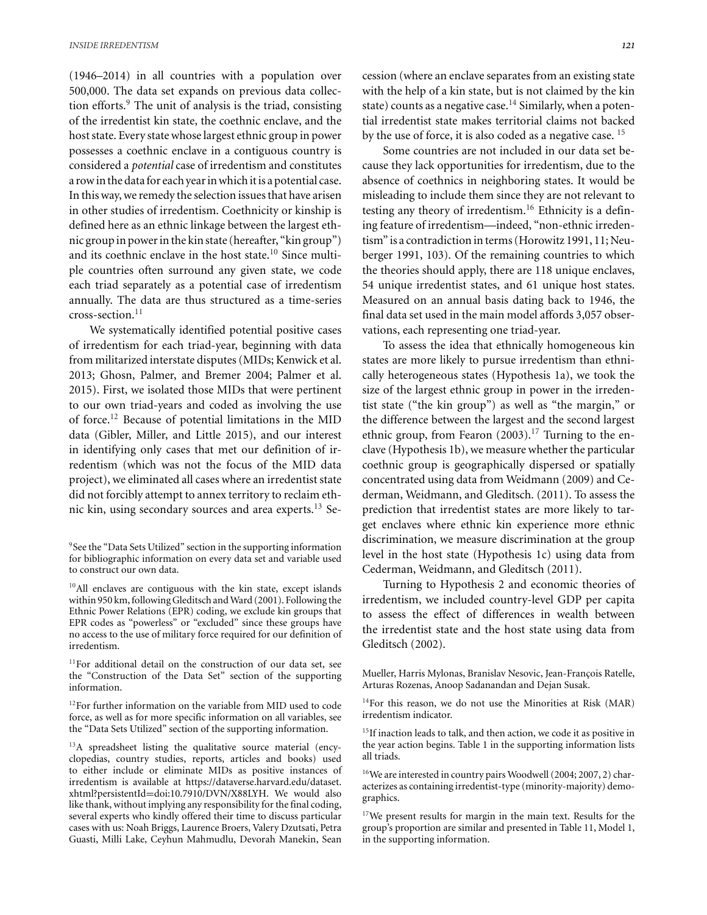(1946–2014) in all countries with a population over 500,000. The data set expands on previous data collection efforts.<sup>9</sup> The unit of analysis is the triad, consisting of the irredentist kin state, the coethnic enclave, and the host state. Every state whose largest ethnic group in power possesses a coethnic enclave in a contiguous country is considered a *potential* case of irredentism and constitutes a row in the data for each year in which it is a potential case. In this way, we remedy the selection issues that have arisen in other studies of irredentism. Coethnicity or kinship is defined here as an ethnic linkage between the largest ethnic group in power in the kin state (hereafter, "kin group") and its coethnic enclave in the host state.<sup>10</sup> Since multiple countries often surround any given state, we code each triad separately as a potential case of irredentism annually. The data are thus structured as a time-series  $cross-section.<sup>11</sup>$ 

We systematically identified potential positive cases of irredentism for each triad-year, beginning with data from militarized interstate disputes (MIDs; Kenwick et al. 2013; Ghosn, Palmer, and Bremer 2004; Palmer et al. 2015). First, we isolated those MIDs that were pertinent to our own triad-years and coded as involving the use of force.<sup>12</sup> Because of potential limitations in the MID data (Gibler, Miller, and Little 2015), and our interest in identifying only cases that met our definition of irredentism (which was not the focus of the MID data project), we eliminated all cases where an irredentist state did not forcibly attempt to annex territory to reclaim ethnic kin, using secondary sources and area experts.<sup>13</sup> Se-

<sup>12</sup>For further information on the variable from MID used to code force, as well as for more specific information on all variables, see the "Data Sets Utilized" section of the supporting information.

<sup>13</sup>A spreadsheet listing the qualitative source material (encyclopedias, country studies, reports, articles and books) used to either include or eliminate MIDs as positive instances of irredentism is available at https://dataverse.harvard.edu/dataset. xhtml?persistentId=doi:10.7910/DVN/X88LYH. We would also like thank, without implying any responsibility for the final coding, several experts who kindly offered their time to discuss particular cases with us: Noah Briggs, Laurence Broers, Valery Dzutsati, Petra Guasti, Milli Lake, Ceyhun Mahmudlu, Devorah Manekin, Sean cession (where an enclave separates from an existing state with the help of a kin state, but is not claimed by the kin state) counts as a negative case.<sup>14</sup> Similarly, when a potential irredentist state makes territorial claims not backed by the use of force, it is also coded as a negative case. <sup>15</sup>

Some countries are not included in our data set because they lack opportunities for irredentism, due to the absence of coethnics in neighboring states. It would be misleading to include them since they are not relevant to testing any theory of irredentism.<sup>16</sup> Ethnicity is a defining feature of irredentism—indeed, "non-ethnic irredentism" is a contradiction in terms (Horowitz 1991, 11; Neuberger 1991, 103). Of the remaining countries to which the theories should apply, there are 118 unique enclaves, 54 unique irredentist states, and 61 unique host states. Measured on an annual basis dating back to 1946, the final data set used in the main model affords 3,057 observations, each representing one triad-year.

To assess the idea that ethnically homogeneous kin states are more likely to pursue irredentism than ethnically heterogeneous states (Hypothesis 1a), we took the size of the largest ethnic group in power in the irredentist state ("the kin group") as well as "the margin," or the difference between the largest and the second largest ethnic group, from Fearon  $(2003)$ .<sup>17</sup> Turning to the enclave (Hypothesis 1b), we measure whether the particular coethnic group is geographically dispersed or spatially concentrated using data from Weidmann (2009) and Cederman, Weidmann, and Gleditsch. (2011). To assess the prediction that irredentist states are more likely to target enclaves where ethnic kin experience more ethnic discrimination, we measure discrimination at the group level in the host state (Hypothesis 1c) using data from Cederman, Weidmann, and Gleditsch (2011).

Turning to Hypothesis 2 and economic theories of irredentism, we included country-level GDP per capita to assess the effect of differences in wealth between the irredentist state and the host state using data from Gleditsch (2002).

Mueller, Harris Mylonas, Branislav Nesovic, Jean-François Ratelle, Arturas Rozenas, Anoop Sadanandan and Dejan Susak.

<sup>14</sup>For this reason, we do not use the Minorities at Risk (MAR) irredentism indicator.

<sup>15</sup>If inaction leads to talk, and then action, we code it as positive in the year action begins. Table 1 in the supporting information lists all triads.

<sup>16</sup>We are interested in country pairs Woodwell (2004; 2007, 2) characterizes as containing irredentist-type (minority-majority) demographics.

 $17$ We present results for margin in the main text. Results for the group's proportion are similar and presented in Table 11, Model 1, in the supporting information.

<sup>&</sup>lt;sup>9</sup>See the "Data Sets Utilized" section in the supporting information for bibliographic information on every data set and variable used to construct our own data.

<sup>10</sup>All enclaves are contiguous with the kin state, except islands within 950 km, following Gleditsch and Ward (2001). Following the Ethnic Power Relations (EPR) coding, we exclude kin groups that EPR codes as "powerless" or "excluded" since these groups have no access to the use of military force required for our definition of irredentism.

<sup>11</sup>For additional detail on the construction of our data set, see the "Construction of the Data Set" section of the supporting information.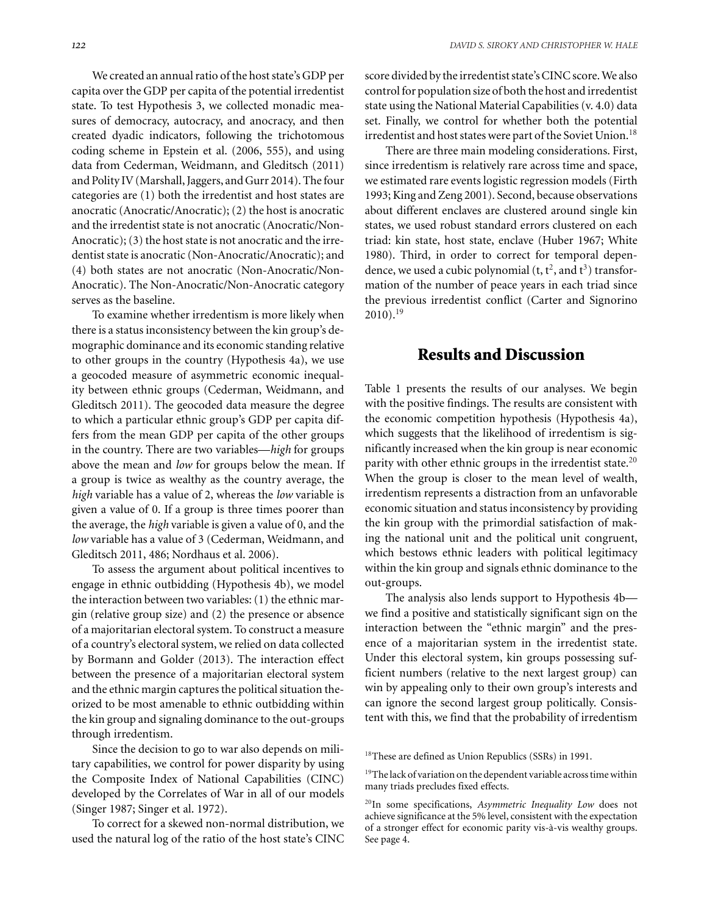We created an annual ratio of the host state's GDP per capita over the GDP per capita of the potential irredentist state. To test Hypothesis 3, we collected monadic measures of democracy, autocracy, and anocracy, and then created dyadic indicators, following the trichotomous coding scheme in Epstein et al. (2006, 555), and using data from Cederman, Weidmann, and Gleditsch (2011) and Polity IV (Marshall, Jaggers, and Gurr 2014). The four categories are (1) both the irredentist and host states are anocratic (Anocratic/Anocratic); (2) the host is anocratic and the irredentist state is not anocratic (Anocratic/Non-Anocratic); (3) the host state is not anocratic and the irredentist state is anocratic (Non-Anocratic/Anocratic); and (4) both states are not anocratic (Non-Anocratic/Non-Anocratic). The Non-Anocratic/Non-Anocratic category serves as the baseline.

To examine whether irredentism is more likely when there is a status inconsistency between the kin group's demographic dominance and its economic standing relative to other groups in the country (Hypothesis 4a), we use a geocoded measure of asymmetric economic inequality between ethnic groups (Cederman, Weidmann, and Gleditsch 2011). The geocoded data measure the degree to which a particular ethnic group's GDP per capita differs from the mean GDP per capita of the other groups in the country. There are two variables—*high* for groups above the mean and *low* for groups below the mean. If a group is twice as wealthy as the country average, the *high* variable has a value of 2, whereas the *low* variable is given a value of 0. If a group is three times poorer than the average, the *high* variable is given a value of 0, and the *low* variable has a value of 3 (Cederman, Weidmann, and Gleditsch 2011, 486; Nordhaus et al. 2006).

To assess the argument about political incentives to engage in ethnic outbidding (Hypothesis 4b), we model the interaction between two variables: (1) the ethnic margin (relative group size) and (2) the presence or absence of a majoritarian electoral system. To construct a measure of a country's electoral system, we relied on data collected by Bormann and Golder (2013). The interaction effect between the presence of a majoritarian electoral system and the ethnic margin captures the political situation theorized to be most amenable to ethnic outbidding within the kin group and signaling dominance to the out-groups through irredentism.

Since the decision to go to war also depends on military capabilities, we control for power disparity by using the Composite Index of National Capabilities (CINC) developed by the Correlates of War in all of our models (Singer 1987; Singer et al. 1972).

To correct for a skewed non-normal distribution, we used the natural log of the ratio of the host state's CINC controlfor population size of both the host and irredentist state using the National Material Capabilities (v. 4.0) data set. Finally, we control for whether both the potential irredentist and host states were part of the Soviet Union.<sup>18</sup>

There are three main modeling considerations. First, since irredentism is relatively rare across time and space, we estimated rare events logistic regression models (Firth 1993; King and Zeng 2001). Second, because observations about different enclaves are clustered around single kin states, we used robust standard errors clustered on each triad: kin state, host state, enclave (Huber 1967; White 1980). Third, in order to correct for temporal dependence, we used a cubic polynomial  $(t, t^2,$  and  $t^3)$  transformation of the number of peace years in each triad since the previous irredentist conflict (Carter and Signorino  $2010$ ).<sup>19</sup>

## **Results and Discussion**

Table 1 presents the results of our analyses. We begin with the positive findings. The results are consistent with the economic competition hypothesis (Hypothesis 4a), which suggests that the likelihood of irredentism is significantly increased when the kin group is near economic parity with other ethnic groups in the irredentist state. $20$ When the group is closer to the mean level of wealth, irredentism represents a distraction from an unfavorable economic situation and status inconsistency by providing the kin group with the primordial satisfaction of making the national unit and the political unit congruent, which bestows ethnic leaders with political legitimacy within the kin group and signals ethnic dominance to the out-groups.

The analysis also lends support to Hypothesis 4b we find a positive and statistically significant sign on the interaction between the "ethnic margin" and the presence of a majoritarian system in the irredentist state. Under this electoral system, kin groups possessing sufficient numbers (relative to the next largest group) can win by appealing only to their own group's interests and can ignore the second largest group politically. Consistent with this, we find that the probability of irredentism

<sup>18</sup>These are defined as Union Republics (SSRs) in 1991.

<sup>&</sup>lt;sup>19</sup>The lack of variation on the dependent variable across time within many triads precludes fixed effects.

<sup>20</sup>In some specifications, *Asymmetric Inequality Low* does not achieve significance at the 5% level, consistent with the expectation of a stronger effect for economic parity vis-a-vis wealthy groups. ` See page 4.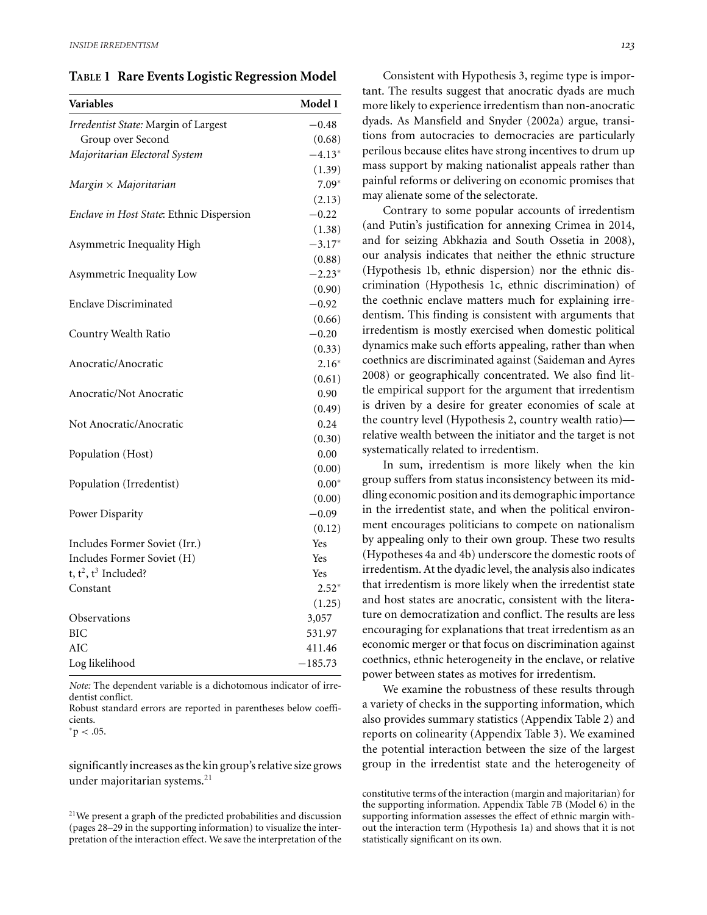**TABLE 1 Rare Events Logistic Regression Model**

| Variables                                | Model 1           |
|------------------------------------------|-------------------|
| Irredentist State: Margin of Largest     | $-0.48$           |
| Group over Second                        | (0.68)            |
| Majoritarian Electoral System            | $-4.13*$          |
|                                          | (1.39)            |
| $Margin \times Majoritarian$             | $7.09*$           |
|                                          | (2.13)            |
| Enclave in Host State: Ethnic Dispersion | $-0.22$           |
|                                          | (1.38)            |
| Asymmetric Inequality High               | $-3.17*$          |
|                                          | (0.88)            |
| Asymmetric Inequality Low                | $-2.23*$          |
|                                          | (0.90)            |
| <b>Enclave Discriminated</b>             | $-0.92$           |
| Country Wealth Ratio                     | (0.66)            |
|                                          | $-0.20$           |
| Anocratic/Anocratic                      | (0.33)<br>$2.16*$ |
|                                          | (0.61)            |
| Anocratic/Not Anocratic                  | 0.90              |
|                                          | (0.49)            |
| Not Anocratic/Anocratic                  | 0.24              |
|                                          | (0.30)            |
| Population (Host)                        | 0.00              |
|                                          | (0.00)            |
| Population (Irredentist)                 | $0.00*$           |
|                                          | (0.00)            |
| Power Disparity                          | $-0.09$           |
|                                          | (0.12)            |
| Includes Former Soviet (Irr.)            | Yes               |
| Includes Former Soviet (H)               | Yes               |
| t, $t^2$ , $t^3$ Included?               | Yes               |
| Constant                                 | $2.52*$           |
|                                          | (1.25)            |
| Observations                             | 3,057             |
| BIC                                      | 531.97            |
| AIC                                      | 411.46            |
| Log likelihood                           | $-185.73$         |

*Note:* The dependent variable is a dichotomous indicator of irredentist conflict.

Robust standard errors are reported in parentheses below coefficients.

 $p < .05$ .

significantly increases as the kin group's relative size grows under majoritarian systems.<sup>21</sup>

 $21$ We present a graph of the predicted probabilities and discussion (pages 28–29 in the supporting information) to visualize the interpretation of the interaction effect. We save the interpretation of the

Consistent with Hypothesis 3, regime type is important. The results suggest that anocratic dyads are much more likely to experience irredentism than non-anocratic dyads. As Mansfield and Snyder (2002a) argue, transitions from autocracies to democracies are particularly perilous because elites have strong incentives to drum up mass support by making nationalist appeals rather than painful reforms or delivering on economic promises that may alienate some of the selectorate.

Contrary to some popular accounts of irredentism (and Putin's justification for annexing Crimea in 2014, and for seizing Abkhazia and South Ossetia in 2008), our analysis indicates that neither the ethnic structure (Hypothesis 1b, ethnic dispersion) nor the ethnic discrimination (Hypothesis 1c, ethnic discrimination) of the coethnic enclave matters much for explaining irredentism. This finding is consistent with arguments that irredentism is mostly exercised when domestic political dynamics make such efforts appealing, rather than when coethnics are discriminated against (Saideman and Ayres 2008) or geographically concentrated. We also find little empirical support for the argument that irredentism is driven by a desire for greater economies of scale at the country level (Hypothesis 2, country wealth ratio) relative wealth between the initiator and the target is not systematically related to irredentism.

In sum, irredentism is more likely when the kin group suffers from status inconsistency between its middling economic position and its demographic importance in the irredentist state, and when the political environment encourages politicians to compete on nationalism by appealing only to their own group. These two results (Hypotheses 4a and 4b) underscore the domestic roots of irredentism. At the dyadic level, the analysis also indicates that irredentism is more likely when the irredentist state and host states are anocratic, consistent with the literature on democratization and conflict. The results are less encouraging for explanations that treat irredentism as an economic merger or that focus on discrimination against coethnics, ethnic heterogeneity in the enclave, or relative power between states as motives for irredentism.

We examine the robustness of these results through a variety of checks in the supporting information, which also provides summary statistics (Appendix Table 2) and reports on colinearity (Appendix Table 3). We examined the potential interaction between the size of the largest group in the irredentist state and the heterogeneity of

constitutive terms of the interaction (margin and majoritarian) for the supporting information. Appendix Table 7B (Model 6) in the supporting information assesses the effect of ethnic margin without the interaction term (Hypothesis 1a) and shows that it is not statistically significant on its own.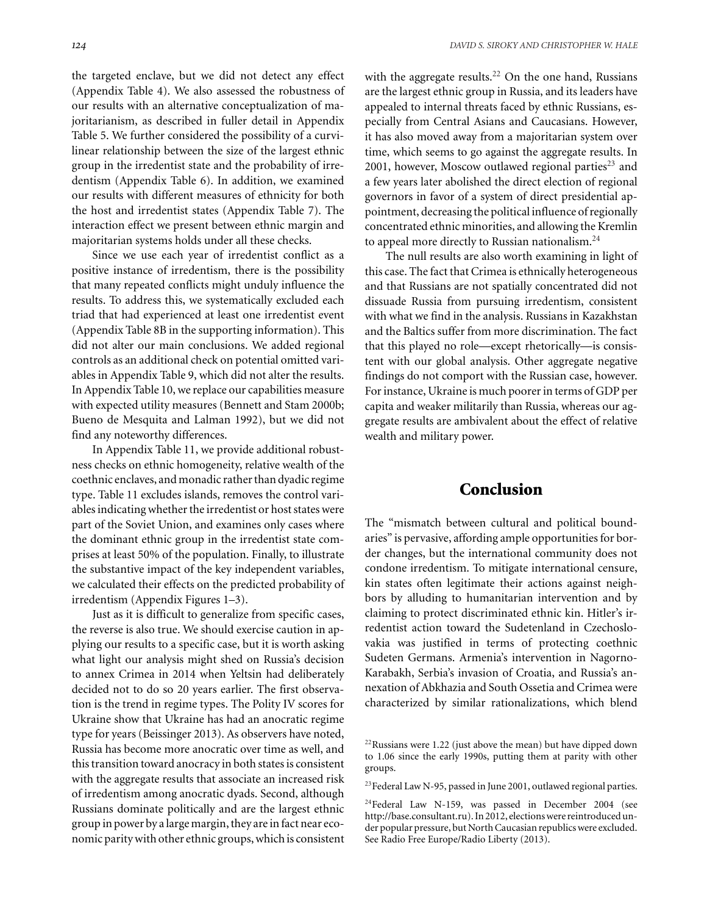the targeted enclave, but we did not detect any effect (Appendix Table 4). We also assessed the robustness of our results with an alternative conceptualization of majoritarianism, as described in fuller detail in Appendix Table 5. We further considered the possibility of a curvilinear relationship between the size of the largest ethnic group in the irredentist state and the probability of irredentism (Appendix Table 6). In addition, we examined our results with different measures of ethnicity for both the host and irredentist states (Appendix Table 7). The interaction effect we present between ethnic margin and majoritarian systems holds under all these checks.

Since we use each year of irredentist conflict as a positive instance of irredentism, there is the possibility that many repeated conflicts might unduly influence the results. To address this, we systematically excluded each triad that had experienced at least one irredentist event (Appendix Table 8B in the supporting information). This did not alter our main conclusions. We added regional controls as an additional check on potential omitted variables in Appendix Table 9, which did not alter the results. In Appendix Table 10, we replace our capabilities measure with expected utility measures (Bennett and Stam 2000b; Bueno de Mesquita and Lalman 1992), but we did not find any noteworthy differences.

In Appendix Table 11, we provide additional robustness checks on ethnic homogeneity, relative wealth of the coethnic enclaves, and monadic rather than dyadic regime type. Table 11 excludes islands, removes the control variables indicating whether the irredentist or host states were part of the Soviet Union, and examines only cases where the dominant ethnic group in the irredentist state comprises at least 50% of the population. Finally, to illustrate the substantive impact of the key independent variables, we calculated their effects on the predicted probability of irredentism (Appendix Figures 1–3).

Just as it is difficult to generalize from specific cases, the reverse is also true. We should exercise caution in applying our results to a specific case, but it is worth asking what light our analysis might shed on Russia's decision to annex Crimea in 2014 when Yeltsin had deliberately decided not to do so 20 years earlier. The first observation is the trend in regime types. The Polity IV scores for Ukraine show that Ukraine has had an anocratic regime type for years (Beissinger 2013). As observers have noted, Russia has become more anocratic over time as well, and this transition toward anocracy in both states is consistent with the aggregate results that associate an increased risk of irredentism among anocratic dyads. Second, although Russians dominate politically and are the largest ethnic group in power by a large margin, they are infact near economic parity with other ethnic groups, which is consistent with the aggregate results.<sup>22</sup> On the one hand, Russians are the largest ethnic group in Russia, and its leaders have appealed to internal threats faced by ethnic Russians, especially from Central Asians and Caucasians. However, it has also moved away from a majoritarian system over time, which seems to go against the aggregate results. In 2001, however, Moscow outlawed regional parties<sup>23</sup> and a few years later abolished the direct election of regional governors in favor of a system of direct presidential appointment, decreasing the political influence of regionally concentrated ethnic minorities, and allowing the Kremlin to appeal more directly to Russian nationalism.<sup>24</sup>

The null results are also worth examining in light of this case. The fact that Crimea is ethnically heterogeneous and that Russians are not spatially concentrated did not dissuade Russia from pursuing irredentism, consistent with what we find in the analysis. Russians in Kazakhstan and the Baltics suffer from more discrimination. The fact that this played no role—except rhetorically—is consistent with our global analysis. Other aggregate negative findings do not comport with the Russian case, however. For instance, Ukraine is much poorer in terms of GDP per capita and weaker militarily than Russia, whereas our aggregate results are ambivalent about the effect of relative wealth and military power.

### **Conclusion**

The "mismatch between cultural and political boundaries" is pervasive, affording ample opportunities for border changes, but the international community does not condone irredentism. To mitigate international censure, kin states often legitimate their actions against neighbors by alluding to humanitarian intervention and by claiming to protect discriminated ethnic kin. Hitler's irredentist action toward the Sudetenland in Czechoslovakia was justified in terms of protecting coethnic Sudeten Germans. Armenia's intervention in Nagorno-Karabakh, Serbia's invasion of Croatia, and Russia's annexation of Abkhazia and South Ossetia and Crimea were characterized by similar rationalizations, which blend

<sup>22</sup>Russians were 1.22 (just above the mean) but have dipped down to 1.06 since the early 1990s, putting them at parity with other groups.

<sup>&</sup>lt;sup>23</sup> Federal Law N-95, passed in June 2001, outlawed regional parties.

<sup>24</sup>Federal Law N-159, was passed in December 2004 (see http://base.consultant.ru). In 2012, electionswere reintroduced under popular pressure, but North Caucasian republics were excluded. See Radio Free Europe/Radio Liberty (2013).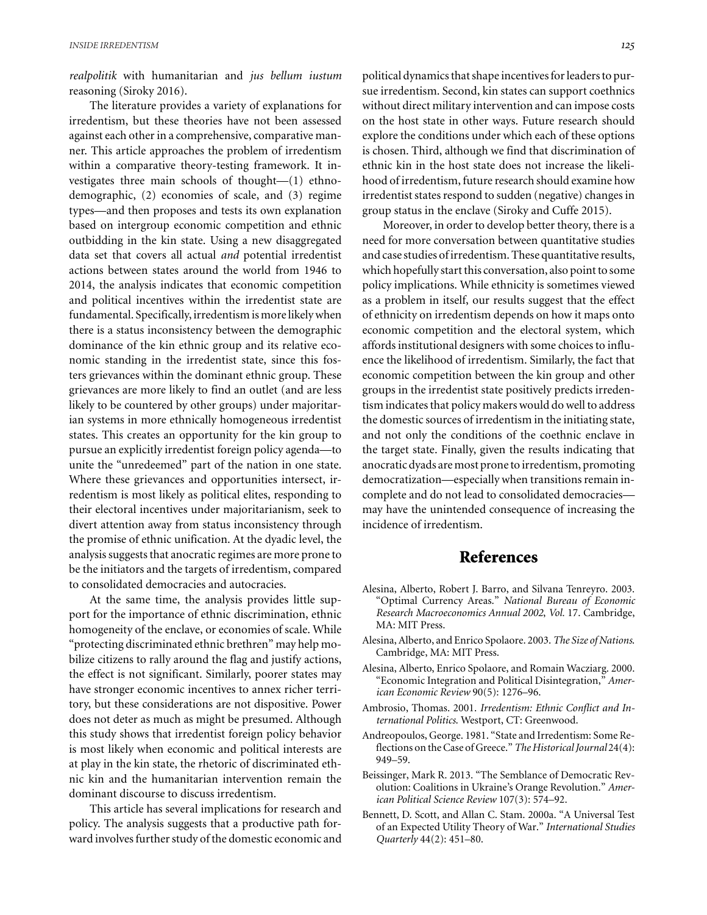*realpolitik* with humanitarian and *jus bellum iustum* reasoning (Siroky 2016).

The literature provides a variety of explanations for irredentism, but these theories have not been assessed against each other in a comprehensive, comparative manner. This article approaches the problem of irredentism within a comparative theory-testing framework. It investigates three main schools of thought—(1) ethnodemographic, (2) economies of scale, and (3) regime types—and then proposes and tests its own explanation based on intergroup economic competition and ethnic outbidding in the kin state. Using a new disaggregated data set that covers all actual *and* potential irredentist actions between states around the world from 1946 to 2014, the analysis indicates that economic competition and political incentives within the irredentist state are fundamental. Specifically, irredentism is more likely when there is a status inconsistency between the demographic dominance of the kin ethnic group and its relative economic standing in the irredentist state, since this fosters grievances within the dominant ethnic group. These grievances are more likely to find an outlet (and are less likely to be countered by other groups) under majoritarian systems in more ethnically homogeneous irredentist states. This creates an opportunity for the kin group to pursue an explicitly irredentist foreign policy agenda—to unite the "unredeemed" part of the nation in one state. Where these grievances and opportunities intersect, irredentism is most likely as political elites, responding to their electoral incentives under majoritarianism, seek to divert attention away from status inconsistency through the promise of ethnic unification. At the dyadic level, the analysis suggests that anocratic regimes are more prone to be the initiators and the targets of irredentism, compared to consolidated democracies and autocracies.

At the same time, the analysis provides little support for the importance of ethnic discrimination, ethnic homogeneity of the enclave, or economies of scale. While "protecting discriminated ethnic brethren" may help mobilize citizens to rally around the flag and justify actions, the effect is not significant. Similarly, poorer states may have stronger economic incentives to annex richer territory, but these considerations are not dispositive. Power does not deter as much as might be presumed. Although this study shows that irredentist foreign policy behavior is most likely when economic and political interests are at play in the kin state, the rhetoric of discriminated ethnic kin and the humanitarian intervention remain the dominant discourse to discuss irredentism.

This article has several implications for research and policy. The analysis suggests that a productive path forward involves further study of the domestic economic and

political dynamics that shape incentivesfor leaders to pursue irredentism. Second, kin states can support coethnics without direct military intervention and can impose costs on the host state in other ways. Future research should explore the conditions under which each of these options is chosen. Third, although we find that discrimination of ethnic kin in the host state does not increase the likelihood of irredentism, future research should examine how irredentist states respond to sudden (negative) changes in group status in the enclave (Siroky and Cuffe 2015).

Moreover, in order to develop better theory, there is a need for more conversation between quantitative studies and case studies of irredentism. These quantitative results, which hopefully start this conversation, also point to some policy implications. While ethnicity is sometimes viewed as a problem in itself, our results suggest that the effect of ethnicity on irredentism depends on how it maps onto economic competition and the electoral system, which affords institutional designers with some choices to influence the likelihood of irredentism. Similarly, the fact that economic competition between the kin group and other groups in the irredentist state positively predicts irredentism indicates that policy makers would do well to address the domestic sources of irredentism in the initiating state, and not only the conditions of the coethnic enclave in the target state. Finally, given the results indicating that anocratic dyads are most prone to irredentism, promoting democratization—especially when transitions remain incomplete and do not lead to consolidated democracies may have the unintended consequence of increasing the incidence of irredentism.

#### **References**

- Alesina, Alberto, Robert J. Barro, and Silvana Tenreyro. 2003. "Optimal Currency Areas." *National Bureau of Economic Research Macroeconomics Annual 2002*, *Vol.* 17. Cambridge, MA: MIT Press.
- Alesina, Alberto, and Enrico Spolaore. 2003. *The Size of Nations*. Cambridge, MA: MIT Press.
- Alesina, Alberto, Enrico Spolaore, and Romain Wacziarg. 2000. "Economic Integration and Political Disintegration," *American Economic Review* 90(5): 1276–96.
- Ambrosio, Thomas. 2001. *Irredentism: Ethnic Conflict and International Politics*. Westport, CT: Greenwood.
- Andreopoulos, George. 1981. "State and Irredentism: Some Reflections on the Case of Greece."*The Historical Journal* 24(4): 949–59.
- Beissinger, Mark R. 2013. "The Semblance of Democratic Revolution: Coalitions in Ukraine's Orange Revolution." *American Political Science Review* 107(3): 574–92.
- Bennett, D. Scott, and Allan C. Stam. 2000a. "A Universal Test of an Expected Utility Theory of War." *International Studies Quarterly* 44(2): 451–80.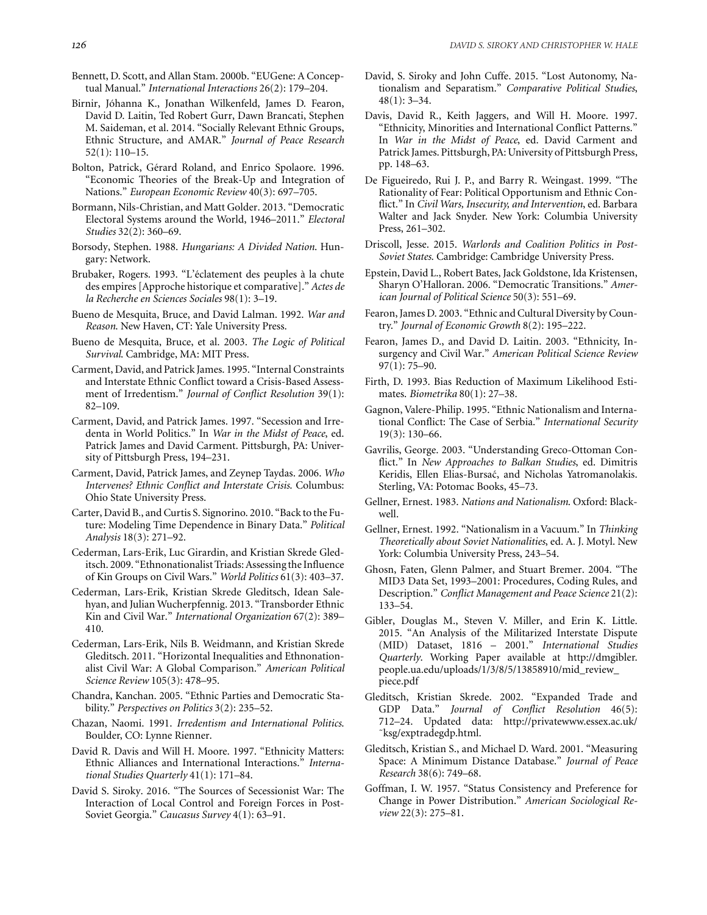- Bennett, D. Scott, and Allan Stam. 2000b. "EUGene: A Conceptual Manual." *International Interactions* 26(2): 179–204.
- Birnir, Jóhanna K., Jonathan Wilkenfeld, James D. Fearon, David D. Laitin, Ted Robert Gurr, Dawn Brancati, Stephen M. Saideman, et al. 2014. "Socially Relevant Ethnic Groups, Ethnic Structure, and AMAR." *Journal of Peace Research* 52(1): 110–15.
- Bolton, Patrick, Gérard Roland, and Enrico Spolaore. 1996. "Economic Theories of the Break-Up and Integration of Nations." *European Economic Review* 40(3): 697–705.
- Bormann, Nils-Christian, and Matt Golder. 2013. "Democratic Electoral Systems around the World, 1946–2011." *Electoral Studies* 32(2): 360–69.
- Borsody, Stephen. 1988. *Hungarians: A Divided Nation*. Hungary: Network.
- Brubaker, Rogers. 1993. "L'éclatement des peuples à la chute des empires [Approche historique et comparative]." *Actes de la Recherche en Sciences Sociales* 98(1): 3–19.
- Bueno de Mesquita, Bruce, and David Lalman. 1992. *War and Reason*. New Haven, CT: Yale University Press.
- Bueno de Mesquita, Bruce, et al. 2003. *The Logic of Political Survival*. Cambridge, MA: MIT Press.
- Carment, David, and Patrick James. 1995. "Internal Constraints and Interstate Ethnic Conflict toward a Crisis-Based Assessment of Irredentism." *Journal of Conflict Resolution* 39(1): 82–109.
- Carment, David, and Patrick James. 1997. "Secession and Irredenta in World Politics." In *War in the Midst of Peace*, ed. Patrick James and David Carment. Pittsburgh, PA: University of Pittsburgh Press, 194–231.
- Carment, David, Patrick James, and Zeynep Taydas. 2006. *Who Intervenes? Ethnic Conflict and Interstate Crisis*. Columbus: Ohio State University Press.
- Carter, David B., and Curtis S. Signorino. 2010. "Back to the Future: Modeling Time Dependence in Binary Data." *Political Analysis* 18(3): 271–92.
- Cederman, Lars-Erik, Luc Girardin, and Kristian Skrede Gleditsch. 2009. "Ethnonationalist Triads: Assessing the Influence of Kin Groups on Civil Wars." *World Politics* 61(3): 403–37.
- Cederman, Lars-Erik, Kristian Skrede Gleditsch, Idean Salehyan, and Julian Wucherpfennig. 2013. "Transborder Ethnic Kin and Civil War." *International Organization* 67(2): 389– 410.
- Cederman, Lars-Erik, Nils B. Weidmann, and Kristian Skrede Gleditsch. 2011. "Horizontal Inequalities and Ethnonationalist Civil War: A Global Comparison." *American Political Science Review* 105(3): 478–95.
- Chandra, Kanchan. 2005. "Ethnic Parties and Democratic Stability." *Perspectives on Politics* 3(2): 235–52.
- Chazan, Naomi. 1991. *Irredentism and International Politics*. Boulder, CO: Lynne Rienner.
- David R. Davis and Will H. Moore. 1997. "Ethnicity Matters: Ethnic Alliances and International Interactions." *International Studies Quarterly* 41(1): 171–84.
- David S. Siroky. 2016. "The Sources of Secessionist War: The Interaction of Local Control and Foreign Forces in Post-Soviet Georgia." *Caucasus Survey* 4(1): 63–91.
- David, S. Siroky and John Cuffe. 2015. "Lost Autonomy, Nationalism and Separatism." *Comparative Political Studies*, 48(1): 3–34.
- Davis, David R., Keith Jaggers, and Will H. Moore. 1997. "Ethnicity, Minorities and International Conflict Patterns." In *War in the Midst of Peace*, ed. David Carment and Patrick James. Pittsburgh, PA: University of Pittsburgh Press, pp. 148–63.
- De Figueiredo, Rui J. P., and Barry R. Weingast. 1999. "The Rationality of Fear: Political Opportunism and Ethnic Conflict." In *Civil Wars, Insecurity, and Intervention*, ed. Barbara Walter and Jack Snyder. New York: Columbia University Press, 261–302.
- Driscoll, Jesse. 2015. *Warlords and Coalition Politics in Post-Soviet States*. Cambridge: Cambridge University Press.
- Epstein, David L., Robert Bates, Jack Goldstone, Ida Kristensen, Sharyn O'Halloran. 2006. "Democratic Transitions." *American Journal of Political Science* 50(3): 551–69.
- Fearon, James D. 2003. "Ethnic and Cultural Diversity by Country." *Journal of Economic Growth* 8(2): 195–222.
- Fearon, James D., and David D. Laitin. 2003. "Ethnicity, Insurgency and Civil War." *American Political Science Review* 97(1): 75–90.
- Firth, D. 1993. Bias Reduction of Maximum Likelihood Estimates. *Biometrika* 80(1): 27–38.
- Gagnon, Valere-Philip. 1995. "Ethnic Nationalism and International Conflict: The Case of Serbia." *International Security* 19(3): 130–66.
- Gavrilis, George. 2003. "Understanding Greco-Ottoman Conflict." In *New Approaches to Balkan Studies*, ed. Dimitris Keridis, Ellen Elias-Bursać, and Nicholas Yatromanolakis. Sterling, VA: Potomac Books, 45–73.
- Gellner, Ernest. 1983. *Nations and Nationalism*. Oxford: Blackwell.
- Gellner, Ernest. 1992. "Nationalism in a Vacuum." In *Thinking Theoretically about Soviet Nationalities*, ed. A. J. Motyl. New York: Columbia University Press, 243–54.
- Ghosn, Faten, Glenn Palmer, and Stuart Bremer. 2004. "The MID3 Data Set, 1993–2001: Procedures, Coding Rules, and Description." *Conflict Management and Peace Science* 21(2): 133–54.
- Gibler, Douglas M., Steven V. Miller, and Erin K. Little. 2015. "An Analysis of the Militarized Interstate Dispute (MID) Dataset, 1816 – 2001." *International Studies Quarterly*. Working Paper available at http://dmgibler. people.ua.edu/uploads/1/3/8/5/13858910/mid\_review\_ piece.pdf
- Gleditsch, Kristian Skrede. 2002. "Expanded Trade and GDP Data." *Journal of Conflict Resolution* 46(5): 712–24. Updated data: http://privatewww.essex.ac.uk/ ˜ksg/exptradegdp.html.
- Gleditsch, Kristian S., and Michael D. Ward. 2001. "Measuring Space: A Minimum Distance Database." *Journal of Peace Research* 38(6): 749–68.
- Goffman, I. W. 1957. "Status Consistency and Preference for Change in Power Distribution." *American Sociological Review* 22(3): 275–81.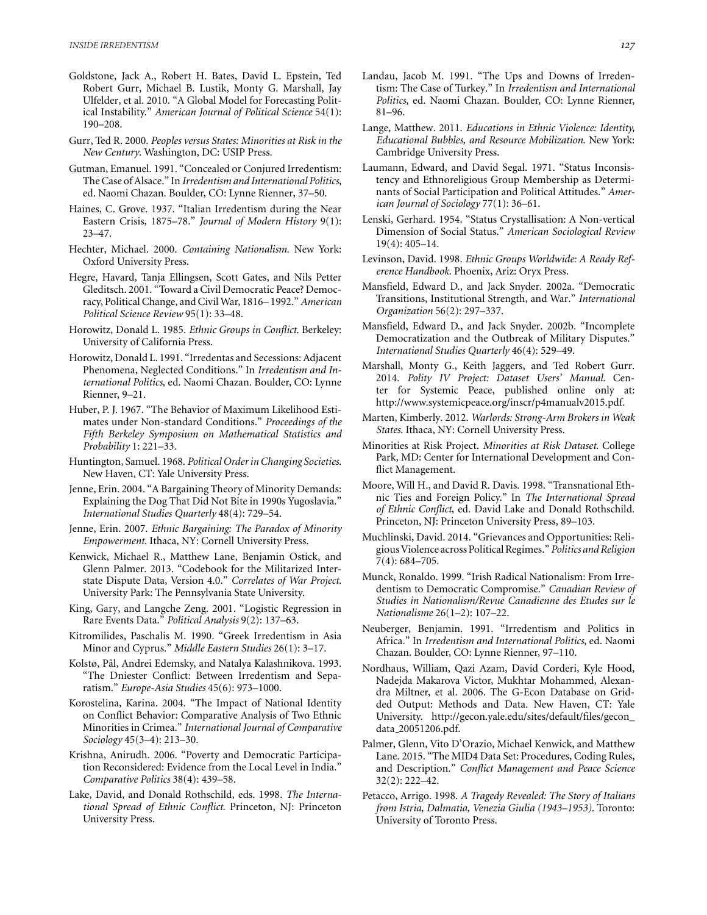- Goldstone, Jack A., Robert H. Bates, David L. Epstein, Ted Robert Gurr, Michael B. Lustik, Monty G. Marshall, Jay Ulfelder, et al. 2010. "A Global Model for Forecasting Political Instability." *American Journal of Political Science* 54(1): 190–208.
- Gurr, Ted R. 2000. *Peoples versus States: Minorities at Risk in the New Century*. Washington, DC: USIP Press.
- Gutman, Emanuel. 1991. "Concealed or Conjured Irredentism: The Case of Alsace." In *Irredentism and International Politics*, ed. Naomi Chazan. Boulder, CO: Lynne Rienner, 37–50.
- Haines, C. Grove. 1937. "Italian Irredentism during the Near Eastern Crisis, 1875–78." *Journal of Modern History* 9(1): 23–47.
- Hechter, Michael. 2000. *Containing Nationalism*. New York: Oxford University Press.
- Hegre, Havard, Tanja Ellingsen, Scott Gates, and Nils Petter Gleditsch. 2001. "Toward a Civil Democratic Peace? Democracy, Political Change, and Civil War, 1816– 1992." *American Political Science Review* 95(1): 33–48.
- Horowitz, Donald L. 1985. *Ethnic Groups in Conflict*. Berkeley: University of California Press.
- Horowitz, Donald L. 1991. "Irredentas and Secessions: Adjacent Phenomena, Neglected Conditions." In *Irredentism and International Politics*, ed. Naomi Chazan. Boulder, CO: Lynne Rienner, 9–21.
- Huber, P. J. 1967. "The Behavior of Maximum Likelihood Estimates under Non-standard Conditions." *Proceedings of the Fifth Berkeley Symposium on Mathematical Statistics and Probability* 1: 221–33.
- Huntington, Samuel. 1968. *Political Order in Changing Societies*. New Haven, CT: Yale University Press.
- Jenne, Erin. 2004. "A Bargaining Theory of Minority Demands: Explaining the Dog That Did Not Bite in 1990s Yugoslavia." *International Studies Quarterly* 48(4): 729–54.
- Jenne, Erin. 2007. *Ethnic Bargaining: The Paradox of Minority Empowerment*. Ithaca, NY: Cornell University Press.
- Kenwick, Michael R., Matthew Lane, Benjamin Ostick, and Glenn Palmer. 2013. "Codebook for the Militarized Interstate Dispute Data, Version 4.0." *Correlates of War Project*. University Park: The Pennsylvania State University.
- King, Gary, and Langche Zeng. 2001. "Logistic Regression in Rare Events Data." *Political Analysis* 9(2): 137–63.
- Kitromilides, Paschalis M. 1990. "Greek Irredentism in Asia Minor and Cyprus." *Middle Eastern Studies* 26(1): 3–17.
- Kolstø, Pål, Andrei Edemsky, and Natalya Kalashnikova. 1993. "The Dniester Conflict: Between Irredentism and Separatism." *Europe-Asia Studies* 45(6): 973–1000.
- Korostelina, Karina. 2004. "The Impact of National Identity on Conflict Behavior: Comparative Analysis of Two Ethnic Minorities in Crimea." *International Journal of Comparative Sociology* 45(3–4): 213–30.
- Krishna, Anirudh. 2006. "Poverty and Democratic Participation Reconsidered: Evidence from the Local Level in India." *Comparative Politics* 38(4): 439–58.
- Lake, David, and Donald Rothschild, eds. 1998. *The International Spread of Ethnic Conflict*. Princeton, NJ: Princeton University Press.
- Landau, Jacob M. 1991. "The Ups and Downs of Irredentism: The Case of Turkey." In *Irredentism and International Politics*, ed. Naomi Chazan. Boulder, CO: Lynne Rienner, 81–96.
- Lange, Matthew. 2011. *Educations in Ethnic Violence: Identity, Educational Bubbles, and Resource Mobilization*. New York: Cambridge University Press.
- Laumann, Edward, and David Segal. 1971. "Status Inconsistency and Ethnoreligious Group Membership as Determinants of Social Participation and Political Attitudes." *American Journal of Sociology* 77(1): 36–61.
- Lenski, Gerhard. 1954. "Status Crystallisation: A Non-vertical Dimension of Social Status." *American Sociological Review* 19(4): 405–14.
- Levinson, David. 1998. *Ethnic Groups Worldwide: A Ready Reference Handbook*. Phoenix, Ariz: Oryx Press.
- Mansfield, Edward D., and Jack Snyder. 2002a. "Democratic Transitions, Institutional Strength, and War." *International Organization* 56(2): 297–337.
- Mansfield, Edward D., and Jack Snyder. 2002b. "Incomplete Democratization and the Outbreak of Military Disputes." *International Studies Quarterly* 46(4): 529–49.
- Marshall, Monty G., Keith Jaggers, and Ted Robert Gurr. 2014. *Polity IV Project: Dataset Users' Manual*. Center for Systemic Peace, published online only at: http://www.systemicpeace.org/inscr/p4manualv2015.pdf.
- Marten, Kimberly. 2012. *Warlords: Strong-Arm Brokers in Weak States*. Ithaca, NY: Cornell University Press.
- Minorities at Risk Project. *Minorities at Risk Dataset*. College Park, MD: Center for International Development and Conflict Management.
- Moore, Will H., and David R. Davis. 1998. "Transnational Ethnic Ties and Foreign Policy." In *The International Spread of Ethnic Conflict*, ed. David Lake and Donald Rothschild. Princeton, NJ: Princeton University Press, 89–103.
- Muchlinski, David. 2014. "Grievances and Opportunities: Religious Violence across Political Regimes." *Politics and Religion* 7(4): 684–705.
- Munck, Ronaldo. 1999. "Irish Radical Nationalism: From Irredentism to Democratic Compromise." *Canadian Review of Studies in Nationalism/Revue Canadienne des Etudes sur le Nationalisme* 26(1–2): 107–22.
- Neuberger, Benjamin. 1991. "Irredentism and Politics in Africa." In *Irredentism and International Politics*, ed. Naomi Chazan. Boulder, CO: Lynne Rienner, 97–110.
- Nordhaus, William, Qazi Azam, David Corderi, Kyle Hood, Nadejda Makarova Victor, Mukhtar Mohammed, Alexandra Miltner, et al. 2006. The G-Econ Database on Gridded Output: Methods and Data. New Haven, CT: Yale University. http://gecon.yale.edu/sites/default/files/gecon\_ data 20051206.pdf.
- Palmer, Glenn, Vito D'Orazio, Michael Kenwick, and Matthew Lane. 2015. "The MID4 Data Set: Procedures, Coding Rules, and Description." *Conflict Management and Peace Science* 32(2): 222–42.
- Petacco, Arrigo. 1998. *A Tragedy Revealed: The Story of Italians from Istria, Dalmatia, Venezia Giulia (1943–1953)*. Toronto: University of Toronto Press.